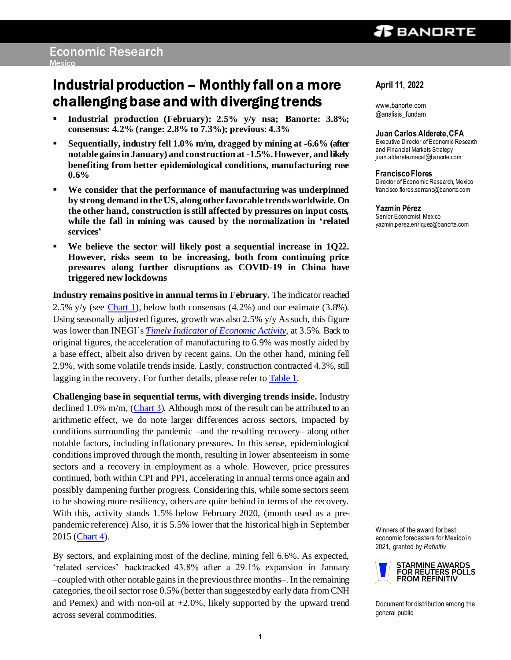# Industrial production – Monthly fall on a more challenging base and with diverging trends

- **Industrial production (February): 2.5% y/y nsa; Banorte: 3.8%; consensus: 4.2% (range: 2.8% to 7.3%); previous: 4.3%**
- **Sequentially, industry fell 1.0% m/m, dragged by mining at -6.6% (after notable gains in January) and construction at -1.5%. However, and likely benefiting from better epidemiological conditions, manufacturing rose 0.6%**
- **We consider that the performance of manufacturing was underpinned by strong demand in the US, along other favorable trends worldwide. On the other hand, construction is still affected by pressures on input costs, while the fall in mining was caused by the normalization in 'related services'**
- **We believe the sector will likely post a sequential increase in 1Q22. However, risks seem to be increasing, both from continuing price pressures along further disruptions as COVID-19 in China have triggered new lockdowns**

**Industry remains positive in annual terms in February.** The indicator reached 2.5% y/y (see Chart 1), below both consensus  $(4.2%)$  and our estimate  $(3.8%).$ Using seasonally adjusted figures, growth was also  $2.5\%$  y/y As such, this figure was lower than INEGI's *[Timely Indicator of Economic Activity](https://www.banorte.com/cms/casadebolsabanorteixe/analisisyestrategia/analisiseconomico/mexico/20220322_Timely_Indicator_Feb.pdf)*, at 3.5%. Back to original figures, the acceleration of manufacturing to 6.9% was mostly aided by a base effect, albeit also driven by recent gains. On the other hand, mining fell 2.9%, with some volatile trends inside. Lastly, construction contracted 4.3%, still lagging in the recovery. For further details, please refer t[o Table 1.](#page-3-0)

**Challenging base in sequential terms, with diverging trends inside.** Industry declined 1.0% m/m, [\(Chart 3](#page-4-0)). Although most of the result can be attributed to an arithmetic effect, we do note larger differences across sectors, impacted by conditions surrounding the pandemic –and the resulting recovery– along other notable factors, including inflationary pressures. In this sense, epidemiological conditions improved through the month, resulting in lower absenteeism in some sectors and a recovery in employment as a whole. However, price pressures continued, both within CPI and PPI, accelerating in annual terms once again and possibly dampening further progress. Considering this, while some sectors seem to be showing more resiliency, others are quite behind in terms of the recovery. With this, activity stands 1.5% below February 2020, (month used as a prepandemic reference) Also, it is 5.5% lower that the historical high in September 2015 [\(Chart 4\)](#page-4-0).

By sectors, and explaining most of the decline, mining fell 6.6%. As expected, 'related services' backtracked 43.8% after a 29.1% expansion in January –coupled with other notable gains in the previous three months–. In the remaining categories, the oil sector rose 0.5% (better than suggested by early data from CNH and Pemex) and with non-oil at  $+2.0\%$ , likely supported by the upward trend across several commodities.

## **April 11, 2022**

www.banorte.com @analisis\_fundam

### **Juan Carlos Alderete, CFA**

Executive Director of Economic Research and Financial Markets Strategy juan.alderete.macal@banorte.com

## **Francisco Flores**

Director of Economic Research, Mexico francisco.flores.serrano@banorte.com

### **Yazmín Pérez**

Senior Economist, Mexico yazmin.perez.enriquez@banorte.com

Winners of the award for best economic forecasters for Mexico in 2021, granted by *Refinitiv*



Document for distribution among the general public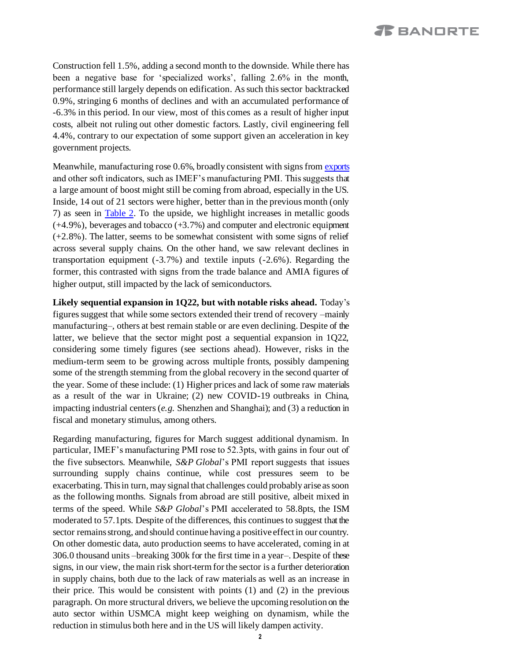# *I***E** BANORTE

Construction fell 1.5%, adding a second month to the downside. While there has been a negative base for 'specialized works', falling 2.6% in the month, performance still largely depends on edification. As such this sector backtracked 0.9%, stringing 6 months of declines and with an accumulated performance of -6.3% in this period. In our view, most of this comes as a result of higher input costs, albeit not ruling out other domestic factors. Lastly, civil engineering fell 4.4%, contrary to our expectation of some support given an acceleration in key government projects.

Meanwhile, manufacturing rose 0.6%, broadly consistent with signs fro[m exports](https://www.banorte.com/cms/casadebolsabanorteixe/analisisyestrategia/analisiseconomico/mexico/20220328_Balanza_Comercial_Feb_22.pdf) and other soft indicators, such as IMEF's manufacturing PMI. This suggests that a large amount of boost might still be coming from abroad, especially in the US. Inside, 14 out of 21 sectors were higher, better than in the previous month (only 7) as seen in Table 2. To the upside, we highlight increases in metallic goods (+4.9%), beverages and tobacco (+3.7%) and computer and electronic equipment  $(+2.8\%)$ . The latter, seems to be somewhat consistent with some signs of relief across several supply chains. On the other hand, we saw relevant declines in transportation equipment (-3.7%) and textile inputs (-2.6%). Regarding the former, this contrasted with signs from the trade balance and AMIA figures of higher output, still impacted by the lack of semiconductors.

**Likely sequential expansion in 1Q22, but with notable risks ahead.** Today's figures suggest that while some sectors extended their trend of recovery –mainly manufacturing–, others at best remain stable or are even declining. Despite of the latter, we believe that the sector might post a sequential expansion in 1Q22, considering some timely figures (see sections ahead). However, risks in the medium-term seem to be growing across multiple fronts, possibly dampening some of the strength stemming from the global recovery in the second quarter of the year. Some of these include: (1) Higher prices and lack of some raw materials as a result of the war in Ukraine; (2) new COVID-19 outbreaks in China, impacting industrial centers (*e.g.* Shenzhen and Shanghai); and (3) a reduction in fiscal and monetary stimulus, among others.

Regarding manufacturing, figures for March suggest additional dynamism. In particular, IMEF's manufacturing PMI rose to 52.3pts, with gains in four out of the five subsectors. Meanwhile, *S&P Global*'s PMI report suggests that issues surrounding supply chains continue, while cost pressures seem to be exacerbating. This in turn, may signal that challenges could probably arise as soon as the following months. Signals from abroad are still positive, albeit mixed in terms of the speed. While *S&P Global*'s PMI accelerated to 58.8pts, the ISM moderated to 57.1pts. Despite of the differences, this continues to suggest that the sector remains strong, and should continue having a positive effect in our country. On other domestic data, auto production seems to have accelerated, coming in at 306.0 thousand units –breaking 300k for the first time in a year–. Despite of these signs, in our view, the main risk short-term for the sector is a further deterioration in supply chains, both due to the lack of raw materials as well as an increase in their price. This would be consistent with points (1) and (2) in the previous paragraph. On more structural drivers, we believe the upcoming resolution on the auto sector within USMCA might keep weighing on dynamism, while the reduction in stimulus both here and in the US will likely dampen activity.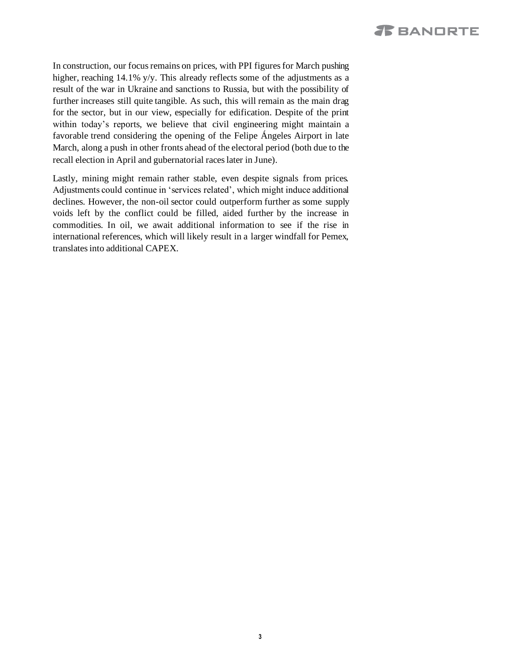# **JE** BANORTE

In construction, our focus remains on prices, with PPI figures for March pushing higher, reaching 14.1% y/y. This already reflects some of the adjustments as a result of the war in Ukraine and sanctions to Russia, but with the possibility of further increases still quite tangible. As such, this will remain as the main drag for the sector, but in our view, especially for edification. Despite of the print within today's reports, we believe that civil engineering might maintain a favorable trend considering the opening of the Felipe Ángeles Airport in late March, along a push in other fronts ahead of the electoral period (both due to the recall election in April and gubernatorial races later in June).

Lastly, mining might remain rather stable, even despite signals from prices. Adjustments could continue in 'services related', which might induce additional declines. However, the non-oil sector could outperform further as some supply voids left by the conflict could be filled, aided further by the increase in commodities. In oil, we await additional information to see if the rise in international references, which will likely result in a larger windfall for Pemex, translates into additional CAPEX.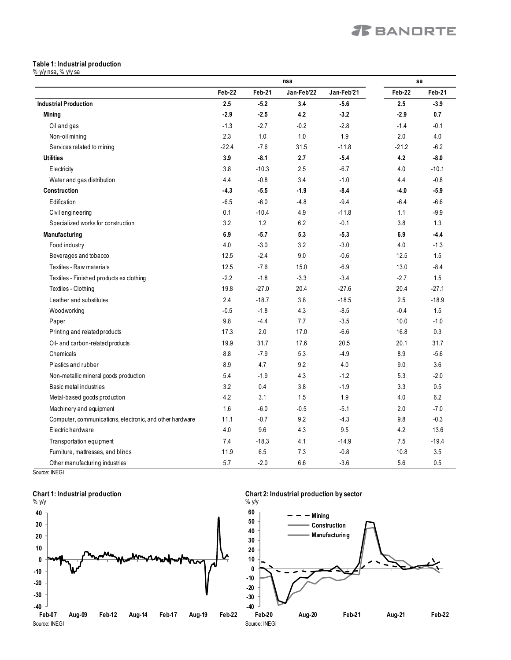### <span id="page-3-0"></span>**Table 1: Industrial production**

% y/y nsa, % y/y sa

|                                                          | nsa     |         |            | sa         |               |         |
|----------------------------------------------------------|---------|---------|------------|------------|---------------|---------|
|                                                          | Feb-22  | Feb-21  | Jan-Feb'22 | Jan-Feb'21 | <b>Feb 22</b> | Feb-21  |
| <b>Industrial Production</b>                             | 2.5     | $-5.2$  | 3.4        | $-5.6$     | 2.5           | $-3.9$  |
| <b>Mining</b>                                            | $-2.9$  | $-2.5$  | 4.2        | $-3.2$     | $-2.9$        | 0.7     |
| Oil and gas                                              | $-1.3$  | $-2.7$  | $-0.2$     | $-2.8$     | $-1.4$        | $-0.1$  |
| Non-oil mining                                           | 2.3     | 1.0     | 1.0        | 1.9        | 2.0           | 4.0     |
| Services related to mining                               | $-22.4$ | $-7.6$  | 31.5       | $-11.8$    | $-21.2$       | $-6.2$  |
| <b>Utilities</b>                                         | 3.9     | $-8.1$  | 2.7        | $-5.4$     | 4.2           | $-8.0$  |
| Electricity                                              | 3.8     | $-10.3$ | 2.5        | $-6.7$     | 4.0           | $-10.1$ |
| Water and gas distribution                               | 4.4     | $-0.8$  | 3.4        | $-1.0$     | 4.4           | $-0.8$  |
| <b>Construction</b>                                      | $-4.3$  | $-5.5$  | $-1.9$     | $-8.4$     | $-4.0$        | $-5.9$  |
| Edification                                              | $-6.5$  | $-6.0$  | $-4.8$     | $-9.4$     | $-6.4$        | $-6.6$  |
| Civil engineering                                        | 0.1     | $-10.4$ | 4.9        | $-11.8$    | 1.1           | $-9.9$  |
| Specialized works for construction                       | 3.2     | 1.2     | 6.2        | $-0.1$     | 3.8           | 1.3     |
| Manufacturing                                            | 6.9     | $-5.7$  | 5.3        | $-5.3$     | 6.9           | $-4.4$  |
| Food industry                                            | 4.0     | $-3.0$  | 3.2        | $-3.0$     | 4.0           | $-1.3$  |
| Beverages and tobacco                                    | 12.5    | $-2.4$  | 9.0        | $-0.6$     | 12.5          | 1.5     |
| Textiles - Raw materials                                 | 12.5    | $-7.6$  | 15.0       | $-6.9$     | 13.0          | $-8.4$  |
| Textiles - Finished products ex clothing                 | $-2.2$  | $-1.8$  | $-3.3$     | $-3.4$     | $-2.7$        | 1.5     |
| Textiles - Clothing                                      | 19.8    | $-27.0$ | 20.4       | $-27.6$    | 20.4          | $-27.1$ |
| Leather and substitutes                                  | 2.4     | $-18.7$ | 3.8        | $-18.5$    | 2.5           | $-18.9$ |
| Woodworking                                              | $-0.5$  | $-1.8$  | 4.3        | $-8.5$     | $-0.4$        | 1.5     |
| Paper                                                    | 9.8     | $-4.4$  | 7.7        | $-3.5$     | 10.0          | $-1.0$  |
| Printing and related products                            | 17.3    | 2.0     | 17.0       | $-6.6$     | 16.8          | 0.3     |
| Oil- and carbon-related products                         | 19.9    | 31.7    | 17.6       | 20.5       | 20.1          | 31.7    |
| Chemicals                                                | 8.8     | $-7.9$  | 5.3        | $-4.9$     | 8.9           | $-5.6$  |
| Plastics and rubber                                      | 8.9     | 4.7     | 9.2        | 4.0        | 9.0           | 3.6     |
| Non-metallic mineral goods production                    | 5.4     | $-1.9$  | 4.3        | $-1.2$     | 5.3           | $-2.0$  |
| Basic metal industries                                   | 3.2     | 0.4     | 3.8        | $-1.9$     | 3.3           | 0.5     |
| Metal-based goods production                             | 4.2     | 3.1     | 1.5        | 1.9        | 4.0           | 6.2     |
| Machinery and equipment                                  | 1.6     | $-6.0$  | $-0.5$     | $-5.1$     | 2.0           | $-7.0$  |
| Computer, communications, electronic, and other hardware | 11.1    | $-0.7$  | 9.2        | $-4.3$     | 9.8           | $-0.3$  |
| Electric hardware                                        | 4.0     | 9.6     | 4.3        | 9.5        | 4.2           | 13.6    |
| Transportation equipment                                 | 7.4     | $-18.3$ | 4.1        | $-14.9$    | 7.5           | $-19.4$ |
| Furniture, mattresses, and blinds                        | 11.9    | 6.5     | 7.3        | $-0.8$     | 10.8          | 3.5     |
| Other manufacturing industries                           | 5.7     | $-2.0$  | 6.6        | $-3.6$     | 5.6           | 0.5     |

Source: INEGI

### **Chart 1: Industrial production**



**Chart 2: Industrial production by sector**

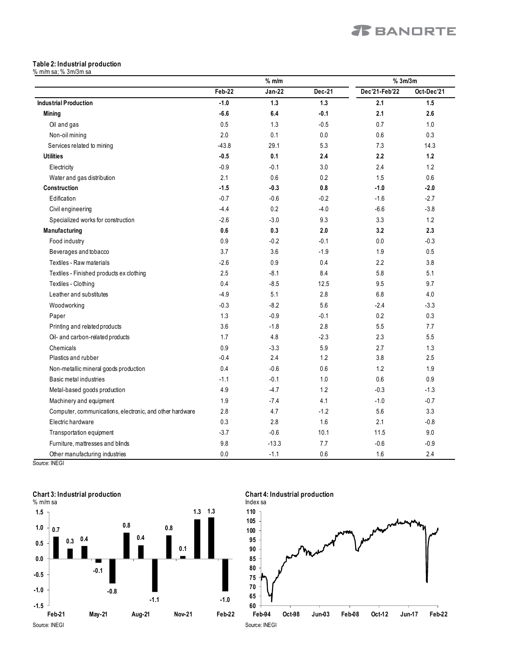### **Table 2: Industrial production**

% m/m sa; % 3m/3m sa

|                                                          | $%$ m/m |               | %3m/3m |               |            |
|----------------------------------------------------------|---------|---------------|--------|---------------|------------|
|                                                          | Feb-22  | <b>Jan-22</b> | Dec-21 | Dec'21-Feb'22 | Oct-Dec'21 |
| <b>Industrial Production</b>                             | $-1.0$  | $1.3$         | $1.3$  | 2.1           | 1.5        |
| <b>Mining</b>                                            | $-6.6$  | 6.4           | $-0.1$ | 2.1           | 2.6        |
| Oil and gas                                              | 0.5     | 1.3           | $-0.5$ | 0.7           | 1.0        |
| Non-oil mining                                           | 2.0     | 0.1           | 0.0    | 0.6           | 0.3        |
| Services related to mining                               | $-43.8$ | 29.1          | 5.3    | 7.3           | 14.3       |
| <b>Utilities</b>                                         | $-0.5$  | 0.1           | 2.4    | 2.2           | 1.2        |
| Electricity                                              | $-0.9$  | $-0.1$        | 3.0    | 2.4           | 1.2        |
| Water and gas distribution                               | 2.1     | 0.6           | 0.2    | 1.5           | 0.6        |
| Construction                                             | $-1.5$  | $-0.3$        | 0.8    | $-1.0$        | $-2.0$     |
| Edification                                              | $-0.7$  | $-0.6$        | $-0.2$ | $-1.6$        | $-2.7$     |
| Civil engineering                                        | $-4.4$  | 0.2           | $-4.0$ | $-6.6$        | $-3.8$     |
| Specialized works for construction                       | $-2.6$  | $-3.0$        | 9.3    | 3.3           | 1.2        |
| Manufacturing                                            | 0.6     | 0.3           | 2.0    | 3.2           | 2.3        |
| Food industry                                            | 0.9     | $-0.2$        | $-0.1$ | 0.0           | $-0.3$     |
| Beverages and tobacco                                    | 3.7     | 3.6           | $-1.9$ | 1.9           | 0.5        |
| Textiles - Raw materials                                 | $-2.6$  | 0.9           | 0.4    | 2.2           | 3.8        |
| Textiles - Finished products ex clothing                 | 2.5     | $-8.1$        | 8.4    | 5.8           | 5.1        |
| Textiles - Clothing                                      | 0.4     | $-8.5$        | 12.5   | 9.5           | 9.7        |
| Leather and substitutes                                  | $-4.9$  | 5.1           | 2.8    | 6.8           | 4.0        |
| Woodworking                                              | $-0.3$  | $-8.2$        | 5.6    | $-2.4$        | $-3.3$     |
| Paper                                                    | 1.3     | $-0.9$        | $-0.1$ | 0.2           | 0.3        |
| Printing and related products                            | 3.6     | $-1.8$        | 2.8    | 5.5           | 7.7        |
| Oil- and carbon-related products                         | 1.7     | 4.8           | $-2.3$ | 2.3           | 5.5        |
| Chemicals                                                | 0.9     | $-3.3$        | 5.9    | 2.7           | 1.3        |
| Plastics and rubber                                      | $-0.4$  | 2.4           | 1.2    | 3.8           | 2.5        |
| Non-metallic mineral goods production                    | 0.4     | $-0.6$        | 0.6    | 1.2           | 1.9        |
| Basic metal industries                                   | $-1.1$  | $-0.1$        | 1.0    | 0.6           | 0.9        |
| Metal-based goods production                             | 4.9     | $-4.7$        | 1.2    | $-0.3$        | $-1.3$     |
| Machinery and equipment                                  | 1.9     | $-7.4$        | 4.1    | $-1.0$        | $-0.7$     |
| Computer, communications, electronic, and other hardware | 2.8     | 4.7           | $-1.2$ | 5.6           | 3.3        |
| Electric hardware                                        | 0.3     | 2.8           | 1.6    | 2.1           | $-0.8$     |
| Transportation equipment                                 | $-3.7$  | $-0.6$        | 10.1   | 11.5          | 9.0        |
| Furniture, mattresses and blinds                         | 9.8     | $-13.3$       | 7.7    | $-0.6$        | $-0.9$     |
| Other manufacturing industries                           | 0.0     | $-1.1$        | 0.6    | 1.6           | 2.4        |

Source: INEGI

<span id="page-4-0"></span>

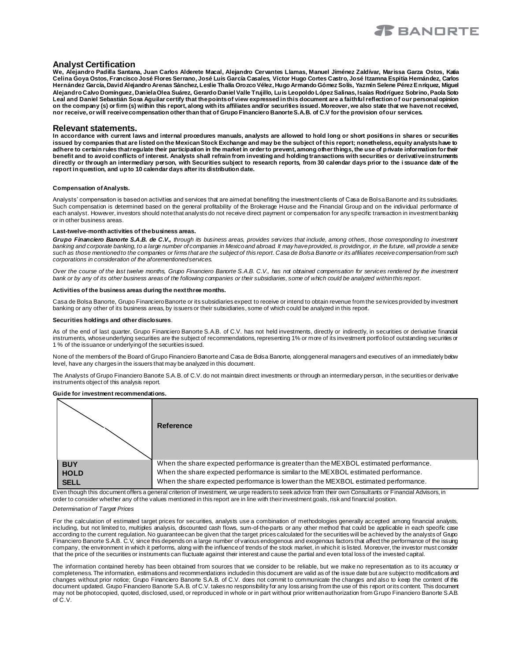

### **Analyst Certification**

**We, Alejandro Padilla Santana, Juan Carlos Alderete Macal, Alejandro Cervantes Llamas, Manuel Jiménez Zaldívar, Marissa Garza Ostos, Katia Celina Goya Ostos, Francisco José Flores Serrano, José Luis García Casales, Víctor Hugo Cortes Castro, José Itzamna Espitia Hernández, Carlos Hernández García, David Alejandro Arenas Sánchez, Leslie Thalía Orozco Vélez, Hugo Armando Gómez Solís, Yazmín Selene Pérez Enríquez, Miguel Alejandro Calvo Domínguez, Daniela Olea Suárez, Gerardo Daniel Valle Trujillo, Luis Leopoldo López Salinas, Isaías Rodríguez Sobrino, Paola Soto Leal and Daniel Sebastián Sosa Aguilar certify that the points of view expressed in this document are a faithful reflection o f our personal opinion on the company (s) or firm (s) within this report, along with its affiliates and/or securities issued. Moreover, we also state that we have not received, nor receive, or will receive compensation other than that of Grupo Financiero Banorte S.A.B. of C.V for the provision of our services.**

### **Relevant statements.**

**In accordance with current laws and internal procedures manuals, analysts are allowed to hold long or short positions in shares or securities issued by companies that are listed on the Mexican Stock Exchange and may be the subject of this report; nonetheless, equity analysts have to**  adhere to certain rules that regulate their participation in the market in order to prevent, among other things, the use of private information for their **benefit and to avoid conflicts of interest. Analysts shall refrain from investing and holding transactions with securities or derivative instruments directly or through an intermediary person, with Securities subject to research reports, from 30 calendar days prior to the i ssuance date of the report in question, and up to 10 calendar days after its distribution date.**

#### **Compensation of Analysts.**

Analysts' compensation is based on activities and services that are aimed at benefiting the investment clients of Casa de Bolsa Banorte and its subsidiaries. Such compensation is determined based on the general profitability of the Brokerage House and the Financial Group and on the individual performance of each analyst. However, investors should note that analysts do not receive direct payment or compensation for any specific transaction in investment banking or in other business areas.

#### **Last-twelve-month activities of the business areas.**

*Grupo Financiero Banorte S.A.B. de C.V., through its business areas, provides services that include, among others, those corresponding to investment banking and corporate banking, to a large number of companies in Mexico and abroad. It may have provided, is providing or, in the future, will provide a service such as those mentioned to the companies or firms that are the subject of this report. Casa de Bolsa Banorte or its affiliates receive compensation from such corporations in consideration of the aforementioned services.*

*Over the course of the last twelve months, Grupo Financiero Banorte S.A.B. C.V., has not obtained compensation for services rendered by the investment bank or by any of its other business areas of the following companies or their subsidiaries, some of which could be analyzed within this report.*

#### **Activities of the business areas during the next three months.**

Casa de Bolsa Banorte, Grupo Financiero Banorte or its subsidiaries expect to receive or intend to obtain revenue from the services provided by investment banking or any other of its business areas, by issuers or their subsidiaries, some of which could be analyzed in this report.

#### **Securities holdings and other disclosures**.

As of the end of last quarter, Grupo Financiero Banorte S.A.B. of C.V. has not held investments, directly or indirectly, in securities or derivative financial instruments, whose underlying securities are the subject of recommendations, representing 1% or more of its investment portfolio of outstanding securities or 1 % of the issuance or underlying of the securities issued.

None of the members of the Board of Grupo Financiero Banorte and Casa de Bolsa Banorte, along general managers and executives of an immediately below level, have any charges in the issuers that may be analyzed in this document.

The Analysts of Grupo Financiero Banorte S.A.B. of C.V. do not maintain direct investments or through an intermediary person, in the securities or derivative instruments object of this analysis report.

### **Guide for investment recommendations.**

|                                          | Reference                                                                                                                                                                                                                                                                                                                                                                                                           |
|------------------------------------------|---------------------------------------------------------------------------------------------------------------------------------------------------------------------------------------------------------------------------------------------------------------------------------------------------------------------------------------------------------------------------------------------------------------------|
| <b>BUY</b><br><b>HOLD</b><br><b>SELL</b> | When the share expected performance is greater than the MEXBOL estimated performance.<br>When the share expected performance is similar to the MEXBOL estimated performance.<br>When the share expected performance is lower than the MEXBOL estimated performance.<br>tira denide dels desiment affancs navant enfantar af formament im immensationalement and familiate anno Amerikante su Fficamatal Ankässas fu |

Even though this document offers a general criterion of investment, we urge readers to seek advice from their own Consultants or Financial Advisors, in order to consider whether any of the values mentioned in this report are in line with their investment goals, risk and financial position.

#### *Determination of Target Prices*

For the calculation of estimated target prices for securities, analysts use a combination of methodologies generally accepted among financial analysts, including, but not limited to, multiples analysis, discounted cash flows, sum-of-the-parts or any other method that could be applicable in each specific case according to the current regulation. No guarantee can be given that the target prices calculated for the securities will be achieved by the analysts of Grupo Financiero Banorte S.A.B. C.V, since this depends on a large number of various endogenous and exogenous factors that affect the performance of the issuing company, the environment in which it performs, along with the influence of trends of the stock market, in which it is listed. Moreover, the investor must consider that the price of the securities or instruments can fluctuate against their interest and cause the partial and even total loss of the invested capital.

The information contained hereby has been obtained from sources that we consider to be reliable, but we make no representation as to its accuracy or completeness. The information, estimations and recommendations included in this document are valid as of the issue date but are subject to modifications and changes without prior notice; Grupo Financiero Banorte S.A.B. of C.V. does not commit to communicate the changes and also to keep the content of this document updated. Grupo Financiero Banorte S.A.B. of C.V. takes no responsibility for any loss arising from the use of this report or its content. This document may not be photocopied, quoted, disclosed, used, or reproduced in whole or in part without prior written authorization from Grupo Financiero Banorte S.A.B. of C.V.